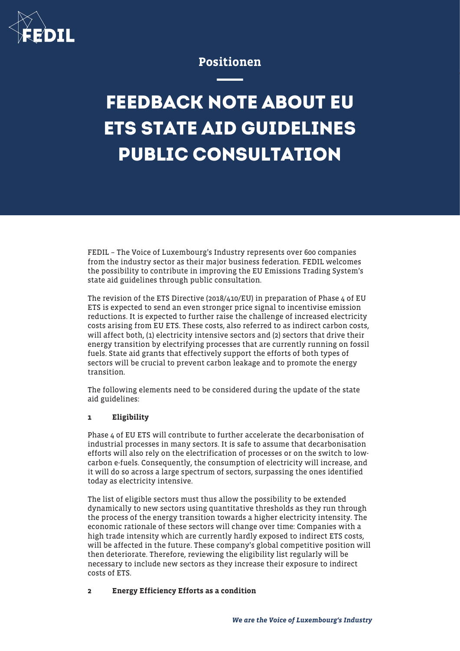

# Positionen

# **FEEDBACK NOTE ABOUT EU ETS STATE AID GUIDELINES PUBLIC CONSULTATION**

FEDIL – The Voice of Luxembourg's Industry represents over 600 companies from the industry sector as their major business federation. FEDIL welcomes the possibility to contribute in improving the EU Emissions Trading System's state aid guidelines through public consultation.

The revision of the ETS Directive (2018/410/EU) in preparation of Phase 4 of EU ETS is expected to send an even stronger price signal to incentivise emission reductions. It is expected to further raise the challenge of increased electricity costs arising from EU ETS. These costs, also referred to as indirect carbon costs, will affect both, (1) electricity intensive sectors and (2) sectors that drive their energy transition by electrifying processes that are currently running on fossil fuels. State aid grants that effectively support the efforts of both types of sectors will be crucial to prevent carbon leakage and to promote the energy transition.

The following elements need to be considered during the update of the state aid guidelines:

## 1 Eligibility

Phase 4 of EU ETS will contribute to further accelerate the decarbonisation of industrial processes in many sectors. It is safe to assume that decarbonisation efforts will also rely on the electrification of processes or on the switch to lowcarbon e-fuels. Consequently, the consumption of electricity will increase, and it will do so across a large spectrum of sectors, surpassing the ones identified today as electricity intensive.

The list of eligible sectors must thus allow the possibility to be extended dynamically to new sectors using quantitative thresholds as they run through the process of the energy transition towards a higher electricity intensity. The economic rationale of these sectors will change over time: Companies with a high trade intensity which are currently hardly exposed to indirect ETS costs, will be affected in the future. These company's global competitive position will then deteriorate. Therefore, reviewing the eligibility list regularly will be necessary to include new sectors as they increase their exposure to indirect costs of ETS.

## 2 Energy Efficiency Efforts as a condition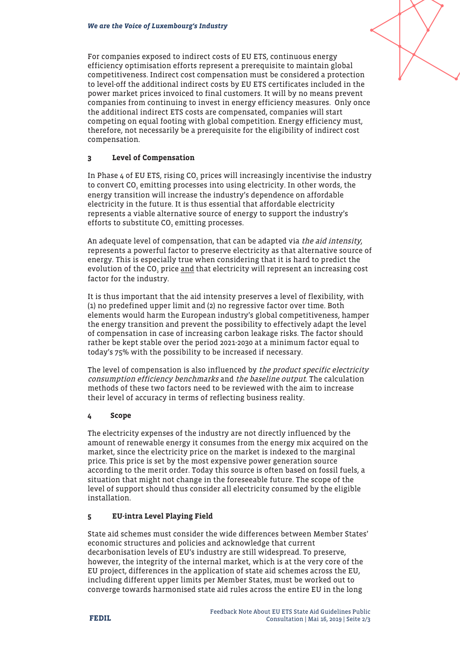For companies exposed to indirect costs of EU ETS, continuous energy efficiency optimisation efforts represent a prerequisite to maintain global competitiveness. Indirect cost compensation must be considered a protection to level-off the additional indirect costs by EU ETS certificates included in the power market prices invoiced to final customers. It will by no means prevent companies from continuing to invest in energy efficiency measures. Only once the additional indirect ETS costs are compensated, companies will start competing on equal footing with global competition. Energy efficiency must, therefore, not necessarily be a prerequisite for the eligibility of indirect cost compensation.

#### 3 Level of Compensation

In Phase 4 of EU ETS, rising CO $_{\tiny 2}$  prices will increasingly incentivise the industry to convert CO<sub>2</sub> emitting processes into using electricity. In other words, the energy transition will increase the industry's dependence on affordable electricity in the future. It is thus essential that affordable electricity represents a viable alternative source of energy to support the industry's efforts to substitute CO $_{2}$  emitting processes.

An adequate level of compensation, that can be adapted via the aid intensity, represents a powerful factor to preserve electricity as that alternative source of energy. This is especially true when considering that it is hard to predict the evolution of the CO<sub>2</sub> price <u>and</u> that electricity will represent an increasing cost factor for the industry.

It is thus important that the aid intensity preserves a level of flexibility, with (1) no predefined upper limit and (2) no regressive factor over time. Both elements would harm the European industry's global competitiveness, hamper the energy transition and prevent the possibility to effectively adapt the level of compensation in case of increasing carbon leakage risks. The factor should rather be kept stable over the period 2021-2030 at a minimum factor equal to today's 75% with the possibility to be increased if necessary.

The level of compensation is also influenced by the product specific electricity consumption efficiency benchmarks and the baseline output. The calculation methods of these two factors need to be reviewed with the aim to increase their level of accuracy in terms of reflecting business reality.

#### 4 Scope

The electricity expenses of the industry are not directly influenced by the amount of renewable energy it consumes from the energy mix acquired on the market, since the electricity price on the market is indexed to the marginal price. This price is set by the most expensive power generation source according to the merit order. Today this source is often based on fossil fuels, a situation that might not change in the foreseeable future. The scope of the level of support should thus consider all electricity consumed by the eligible installation.

#### 5 EU-intra Level Playing Field

State aid schemes must consider the wide differences between Member States' economic structures and policies and acknowledge that current decarbonisation levels of EU's industry are still widespread. To preserve, however, the integrity of the internal market, which is at the very core of the EU project, differences in the application of state aid schemes across the EU, including different upper limits per Member States, must be worked out to converge towards harmonised state aid rules across the entire EU in the long